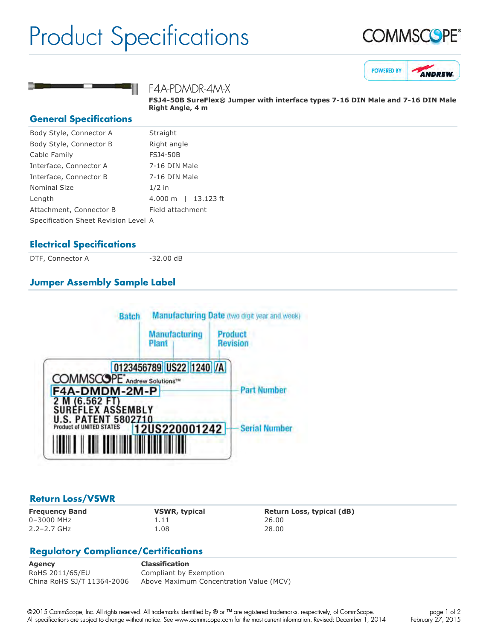## Product Specifications







F4A-PDMDR-4M-X

**FSJ450B SureFlex® Jumper with interface types 716 DIN Male and 716 DIN Male Right Angle, 4 m**

#### **General Specifications**

| Body Style, Connector A              | Straight                           |
|--------------------------------------|------------------------------------|
| Body Style, Connector B              | Right angle                        |
| Cable Family                         | <b>FSJ4-50B</b>                    |
| Interface, Connector A               | 7-16 DIN Male                      |
| Interface, Connector B               | 7-16 DIN Male                      |
| Nominal Size                         | $1/2$ in                           |
| Length                               | $4.000 \; \mathrm{m}$<br>13.123 ft |
| Attachment, Connector B              | Field attachment                   |
| Specification Sheet Revision Level A |                                    |
|                                      |                                    |

#### **Electrical Specifications**

DTF, Connector A 32.00 dB

### **Jumper Assembly Sample Label**



#### **Return Loss/VSWR**

0–3000 MHz 1.11 26.00 2.2–2.7 GHz 1.08 28.00

**Frequency Band VSWR, typical Return Loss, typical (dB)**

#### **Regulatory Compliance/Certifications**

**Agency Classification** RoHS 2011/65/EU Compliant by Exemption China RoHS SJ/T 11364-2006 Above Maximum Concentration Value (MCV)

©2015 CommScope, Inc. All rights reserved. All trademarks identified by ® or ™ are registered trademarks, respectively, of CommScope. All specifications are subject to change without notice. See www.commscope.com for the most current information. Revised: December 1, 2014